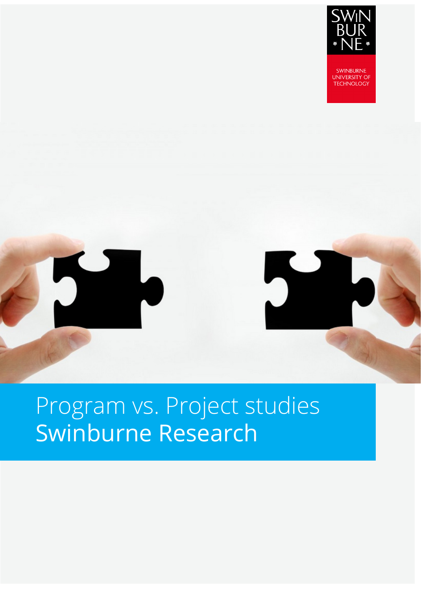

**SWINBURNE UNIVERSITY OF TECHNOLOGY** 

## Program vs. Project studies Swinburne Research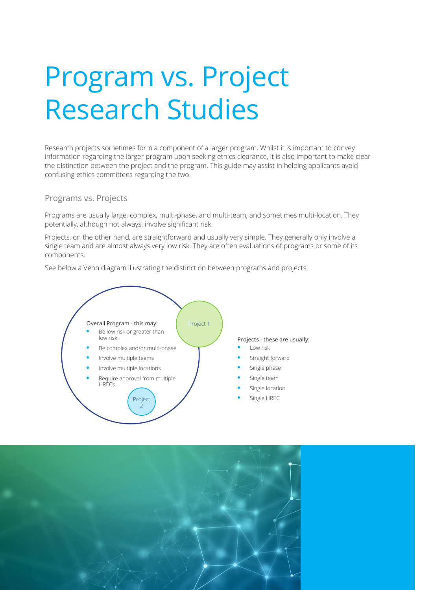# Program vs. Project Research Studies

Research projects sometimes form a component of a larger program. Whilst it is important to convey information regarding the larger program upon seeking ethics clearance, it is also important to make clear the distinction between the project and the program. This guide may assist in helping applicants avoid confusing ethics committees regarding the two.

#### Programs vs. Projects

Programs are usually large, complex, multi-phase, and multi-team, and sometimes multi-location. They potentially, although not always, involve significant risk.

Projects, on the other hand, are straightforward and usually very simple. They generally only involve a single team and are almost always very low risk. They are often evaluations of programs or some of its components.

See below a Venn diagram illustrating the distinction between programs and projects:



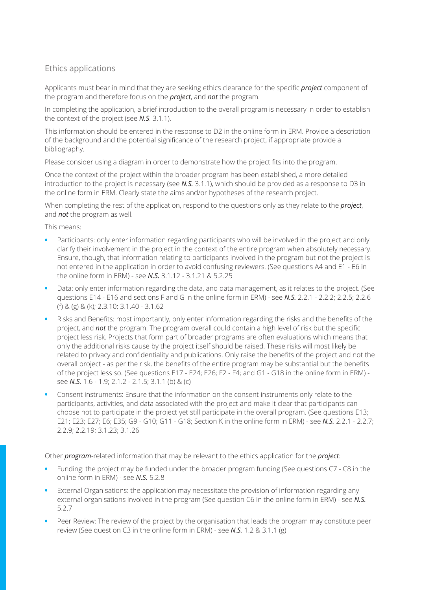### Ethics applications

Applicants must bear in mind that they are seeking ethics clearance for the specific *project* component of the program and therefore focus on the *project*, and *not* the program.

In completing the application, a brief introduction to the overall program is necessary in order to establish the context of the project (see *N.S*. 3.1.1).

This information should be entered in the response to D2 in the online form in ERM. Provide a description of the background and the potential significance of the research project, if appropriate provide a bibliography.

Please consider using a diagram in order to demonstrate how the project fits into the program.

Once the context of the project within the broader program has been established, a more detailed introduction to the project is necessary (see *N.S.* 3.1.1), which should be provided as a response to D3 in the online form in ERM. Clearly state the aims and/or hypotheses of the research project.

When completing the rest of the application, respond to the questions only as they relate to the *project*, and *not* the program as well.

This means:

- **•** Participants: only enter information regarding participants who will be involved in the project and only clarify their involvement in the project in the context of the entire program when absolutely necessary. Ensure, though, that information relating to participants involved in the program but not the project is not entered in the application in order to avoid confusing reviewers. (See questions A4 and E1 - E6 in the online form in ERM) - see *N.S.* 3.1.12 - 3.1.21 & 5.2.25
- **•** Data: only enter information regarding the data, and data management, as it relates to the project. (See questions E14 - E16 and sections F and G in the online form in ERM) - see *N.S.* 2.2.1 - 2.2.2; 2.2.5; 2.2.6 (f) & (g) & (k); 2.3.10; 3.1.40 - 3.1.62
- **•** Risks and Benefits: most importantly, only enter information regarding the risks and the benefits of the project, and *not* the program. The program overall could contain a high level of risk but the specific project less risk. Projects that form part of broader programs are often evaluations which means that only the additional risks cause by the project itself should be raised. These risks will most likely be related to privacy and confidentiality and publications. Only raise the benefits of the project and not the overall project - as per the risk, the benefits of the entire program may be substantial but the benefits of the project less so. (See questions E17 - E24; E26; F2 - F4; and G1 - G18 in the online form in ERM) see *N.S.* 1.6 - 1.9; 2.1.2 - 2.1.5; 3.1.1 (b) & (c)
- **•** Consent instruments: Ensure that the information on the consent instruments only relate to the participants, activities, and data associated with the project and make it clear that participants can choose not to participate in the project yet still participate in the overall program. (See questions E13; E21; E23; E27; E6; E35; G9 - G10; G11 - G18; Section K in the online form in ERM) - see *N.S.* 2.2.1 - 2.2.7; 2.2.9; 2.2.19; 3.1.23; 3.1.26

Other *program*-related information that may be relevant to the ethics application for the *project*:

- **•** Funding: the project may be funded under the broader program funding (See questions C7 C8 in the online form in ERM) - see *N.S.* 5.2.8
- **•** External Organisations: the application may necessitate the provision of information regarding any external organisations involved in the program (See question C6 in the online form in ERM) - see *N.S.*  5.2.7
- **•** Peer Review: The review of the project by the organisation that leads the program may constitute peer review (See question C3 in the online form in ERM) - see *N.S.* 1.2 & 3.1.1 (g)